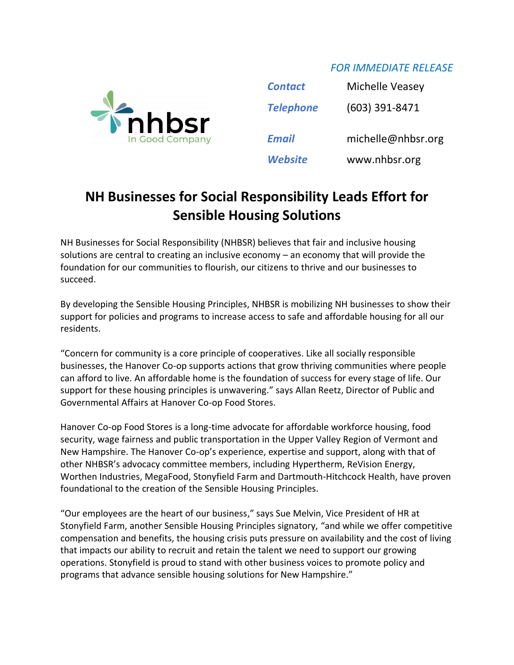## *FOR IMMEDIATE RELEASE*



| <b>Contact</b>   | Michelle Veasey    |
|------------------|--------------------|
| <b>Telephone</b> | $(603)$ 391-8471   |
| <b>Email</b>     | michelle@nhbsr.org |
| Website          | www.nhbsr.org      |

## **NH Businesses for Social Responsibility Leads Effort for Sensible Housing Solutions**

NH Businesses for Social Responsibility (NHBSR) believes that fair and inclusive housing solutions are central to creating an inclusive economy – an economy that will provide the foundation for our communities to flourish, our citizens to thrive and our businesses to succeed.

By developing the Sensible Housing Principles, NHBSR is mobilizing NH businesses to show their support for policies and programs to increase access to safe and affordable housing for all our residents.

"Concern for community is a core principle of cooperatives. Like all socially responsible businesses, the Hanover Co-op supports actions that grow thriving communities where people can afford to live. An affordable home is the foundation of success for every stage of life. Our support for these housing principles is unwavering." says Allan Reetz, Director of Public and Governmental Affairs at Hanover Co-op Food Stores.

Hanover Co-op Food Stores is a long-time advocate for affordable workforce housing, food security, wage fairness and public transportation in the Upper Valley Region of Vermont and New Hampshire. The Hanover Co-op's experience, expertise and support, along with that of other NHBSR's advocacy committee members, including Hypertherm, ReVision Energy, Worthen Industries, MegaFood, Stonyfield Farm and Dartmouth-Hitchcock Health, have proven foundational to the creation of the Sensible Housing Principles.

"Our employees are the heart of our business," says Sue Melvin, Vice President of HR at Stonyfield Farm, another Sensible Housing Principles signatory, "and while we offer competitive compensation and benefits, the housing crisis puts pressure on availability and the cost of living that impacts our ability to recruit and retain the talent we need to support our growing operations. Stonyfield is proud to stand with other business voices to promote policy and programs that advance sensible housing solutions for New Hampshire."